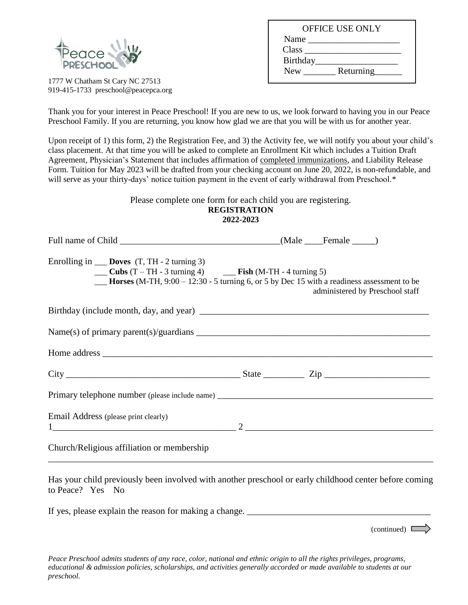

1777 W Chatham St Cary NC 27513 919-415-1733 preschool@peacepca.org

| <b>OFFICE USE ONLY</b>  |  |
|-------------------------|--|
| Name                    |  |
| Class                   |  |
| Birthday                |  |
| Returning<br><b>New</b> |  |
|                         |  |

Thank you for your interest in Peace Preschool! If you are new to us, we look forward to having you in our Peace Preschool Family. If you are returning, you know how glad we are that you will be with us for another year.

Upon receipt of 1) this form, 2) the Registration Fee, and 3) the Activity fee, we will notify you about your child's class placement. At that time you will be asked to complete an Enrollment Kit which includes a Tuition Draft Agreement, Physician's Statement that includes affirmation of completed immunizations, and Liability Release Form. Tuition for May 2023 will be drafted from your checking account on June 20, 2022, is non-refundable, and will serve as your thirty-days' notice tuition payment in the event of early withdrawal from Preschool.\*

> Please complete one form for each child you are registering. **REGISTRATION 2022-2023**

| Enrolling in $\_\_\_\_\_\_\_\_\_\_\$ (T, TH - 2 turning 3)<br>$\frac{1}{2}$ Cubs (T – TH - 3 turning 4) $\frac{1}{2}$ Fish (M-TH - 4 turning 5)<br><b>Horses</b> (M-TH, $9:00 - 12:30 - 5$ turning 6, or 5 by Dec 15 with a readiness assessment to be |  | administered by Preschool staff |
|--------------------------------------------------------------------------------------------------------------------------------------------------------------------------------------------------------------------------------------------------------|--|---------------------------------|
|                                                                                                                                                                                                                                                        |  |                                 |
| Name(s) of primary parent(s)/guardians $\_\_\_\_\_\_\_\_\_\_\_$                                                                                                                                                                                        |  |                                 |
|                                                                                                                                                                                                                                                        |  |                                 |
| $City$ $City$ $Zip$                                                                                                                                                                                                                                    |  |                                 |
| Primary telephone number (please include name) __________________________________                                                                                                                                                                      |  |                                 |
| Email Address (please print clearly)                                                                                                                                                                                                                   |  |                                 |
| Church/Religious affiliation or membership                                                                                                                                                                                                             |  |                                 |

Has your child previously been involved with another preschool or early childhood center before coming to Peace? Yes No

If yes, please explain the reason for making a change.

 $(continued)$ 

*Peace Preschool admits students of any race, color, national and ethnic origin to all the rights privileges, programs, educational & admission policies, scholarships, and activities generally accorded or made available to students at our preschool.*